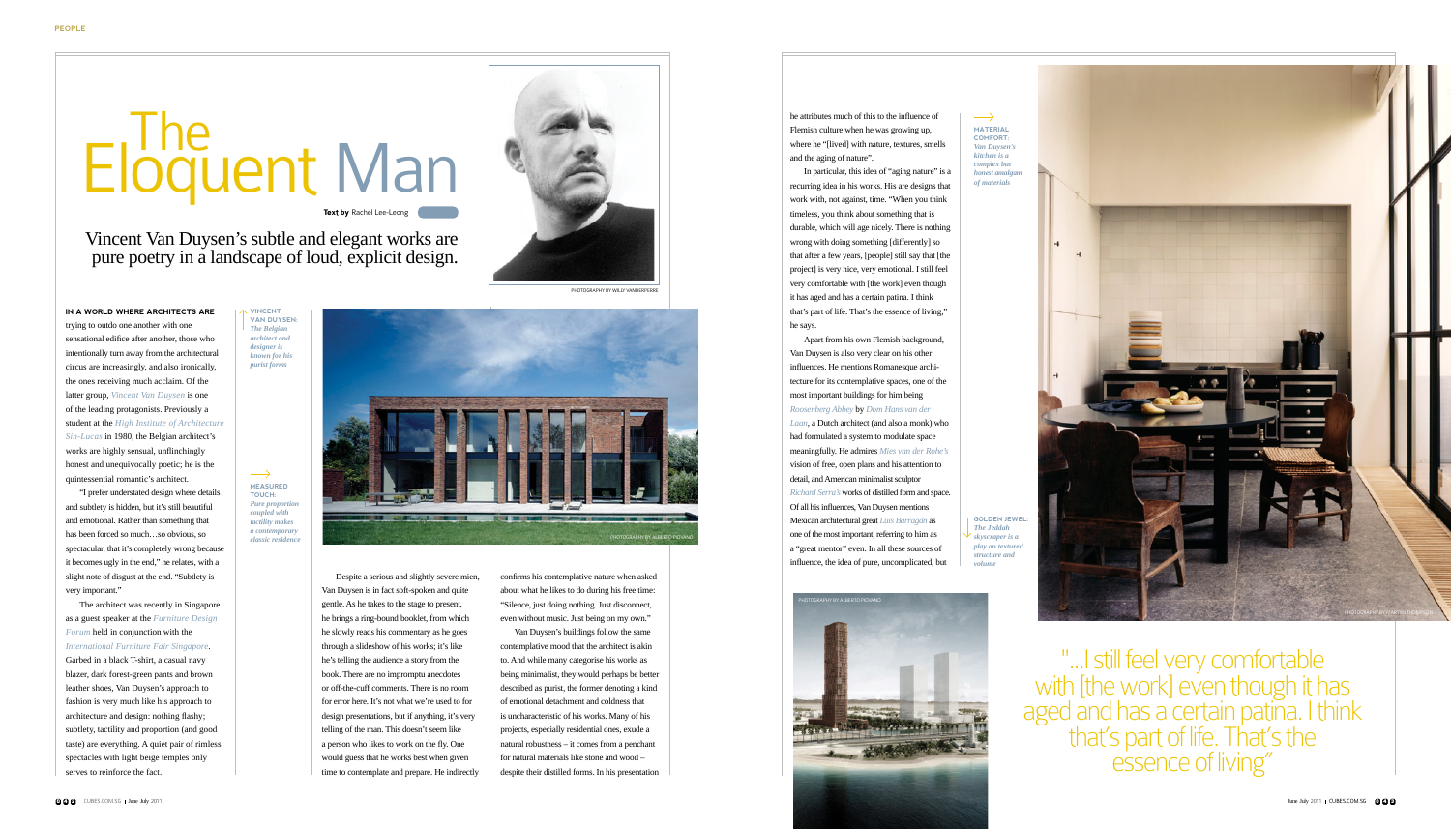**In a world where architects are** trying to outdo one another with one sensational edifice after another, those who intentionally turn away from the architectural circus are increasingly, and also ironically, the ones receiving much acclaim. Of the latter group, *Vincent Van Duysen* is one of the leading protagonists. Previously a student at the *High Institute of Architecture Sin-Lucas* in 1980, the Belgian architect's works are highly sensual, unflinchingly honest and unequivocally poetic; he is the quintessential romantic's architect.

"I prefer understated design where details and subtlety is hidden, but it's still beautiful and emotional. Rather than something that has been forced so much…so obvious, so spectacular, that it's completely wrong because it becomes ugly in the end," he relates, with a slight note of disgust at the end. "Subtlety is very important."

The architect was recently in Singapore as a guest speaker at the *Furniture Design Forum* held in conjunction with the *International Furniture Fair Singapore*.

Garbed in a black T-shirt, a casual navy blazer, dark forest-green pants and brown leather shoes, Van Duysen's approach to fashion is very much like his approach to architecture and design: nothing flashy; subtlety, tactility and proportion (and good taste) are everything. A quiet pair of rimless spectacles with light beige temples only serves to reinforce the fact.

## Eloquent Man

Vincent Van Duysen's subtle and elegant works are pure poetry in a landscape of loud, explicit design.

**Text by** Rachel Lee-Leong

Despite a serious and slightly severe mien, Van Duysen is in fact soft-spoken and quite gentle. As he takes to the stage to present, he brings a ring-bound booklet, from which he slowly reads his commentary as he goes through a slideshow of his works; it's like he's telling the audience a story from the book. There are no impromptu anecdotes or off-the-cuff comments. There is no room for error here. It's not what we're used to for design presentations, but if anything, it's very telling of the man. This doesn't seem like a person who likes to work on the fly. One would guess that he works best when given time to contemplate and prepare. He indirectly

confirms his contemplative nature when asked about what he likes to do during his free time: "Silence, just doing nothing. Just disconnect, even without music. Just being on my own."

> "...I still feel very comfortable with [the work] even though it has aged and has a certain patina. I think that's part of life. That's the essence of living"

PHOTOGRAPHY BY MARTYN THOMPSON

 $\overline{\phantom{0}}$ **Measured touch:**  *Pure proportion coupled with tactility makes a contemporary classic residence*





Van Duysen's buildings follow the same contemplative mood that the architect is akin to. And while many categorise his works as being minimalist, they would perhaps be better described as purist, the former denoting a kind of emotional detachment and coldness that is uncharacteristic of his works. Many of his projects, especially residential ones, exude a natural robustness – it comes from a penchant for natural materials like stone and wood – despite their distilled forms. In his presentation he attributes much of this to the influence of Flemish culture when he was growing up, where he "[lived] with nature, textures, smells and the aging of nature".

In particular, this idea of "aging nature" is a

recurring idea in his works. His are designs that work with, not against, time. "When you think timeless, you think about something that is durable, which will age nicely. There is nothing wrong with doing something [differently] so that after a few years, [people] still say that [the project] is very nice, very emotional. I still feel very comfortable with [the work] even though it has aged and has a certain patina. I think that's part of life. That's the essence of living," he says.

Apart from his own Flemish background, Van Duysen is also very clear on his other influences. He mentions Romanesque architecture for its contemplative spaces, one of the most important buildings for him being *Roosenberg Abbey* by *Dom Hans van der Laan*, a Dutch architect (and also a monk) who had formulated a system to modulate space meaningfully. He admires *Mies van der Rohe's* vision of free, open plans and his attention to detail, and American minimalist sculptor *Richard Serra's* works of distilled form and space. Of all his influences, Van Duysen mentions Mexican architectural great *Luis Barragán* as one of the most important, referring to him as a "great mentor" even. In all these sources of influence, the idea of pure, uncomplicated, but

**Material Comfort:**  *Van Duysen's kitchen is a complex but honest amalgan of materials*

 $\longrightarrow$ 

**Golden jewel:**  *The Jeddah skyscraper is a play on textured structure and volume*





**Vincent Van Duysen:**  *The Belgian architect and designer is known for his purist forms*



photography by Willy Vanderperre